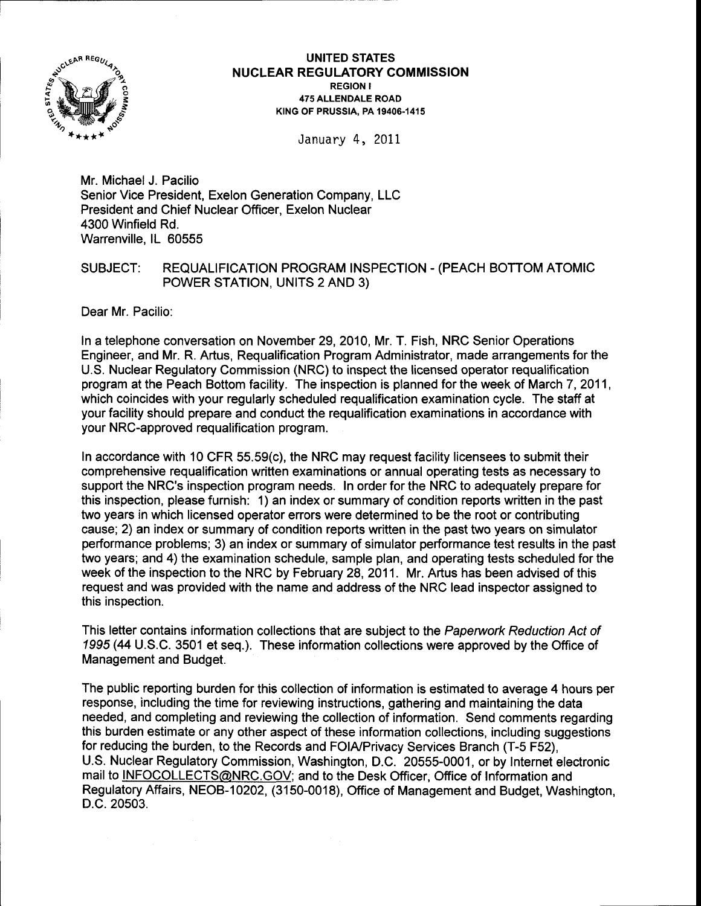

## UNITED STATES <sup>N</sup>UCLEAR REGULATORY COMMISSION REGION I 475 ALLENDALE ROAD KING OF PRUSSIA, PA 19406-1415

January 4, 2011

Mr. Michael J. Pacilio Senior Vice President, Exelon Generation Company, LLC President and Chief Nuclear Officer, Exelon Nuclear 4300 Winfield Rd. Warrenville, lL 60555

# SUBJECT: REQUALIFICATION PROGRAM INSPECTION - (PEACH BOTTOM ATOMIC POWER STATION, UNITS 2 AND 3)

Dear Mr. Pacilio:

In a telephone conversation on November 29, 2010, Mr. T. Fish, NRC Senior Operations Engineer, and Mr. R. Artus, Requalification Program Administrator, made arrangements for the U.S. Nuclear Regulatory Commission (NRC) to inspect the licensed operator requalification program at the Peach Bottom facility. The inspection is planned for the week of March 7,2011, which coincides with your regularly scheduled requalification examination cycle. The staff at your facility should prepare and conduct the requalification examinations in accordance with your NRC-approved requalification program.

ln accordance with 10 CFR 55.59(c), the NRC may request facility licensees to submit their comprehensive requalification written examinations or annual operating tests as necessary to support the NRC's inspection program needs. In order for the NRC to adequately prepare for this inspection, please furnish: 1) an index or summary of condition reports written in the past two years in which licensed operator errors were determined to be the root or contributing cause; 2) an index or summary of condition reports written in the past two years on simulator performance problems; 3) an index or summary of simulator performance test results in the past two years; and 4) the examination schedule, sample plan, and operating tests scheduled for the week of the inspection to the NRC by February 28,2011. Mr. Artus has been advised of this request and was provided with the name and address of the NRC lead inspector assigned to this inspection.

This letter contains information collections that are subject to the Paperwork Reduction Act of 1995 (44 U.S.C. 3501 et seq.). These information collections were approved by the Office of Management and Budget.

The public reporting burden for this collection of information is estimated to average 4 hours per response, including the time for reviewing instructions, gathering and maintaining the data needed, and completing and reviewing the collection of information. Send comments regarding this burden estimate or any other aspect of these information collections, including suggestions for reducing the burden, to the Records and FOIA/Privacy Services Branch (T-5 F52), U.S. Nuclear Regulatory Commission, Washington, D.C. 20555-0001, or by Internet electronic mail to INFOCOLLECTS@NRC.GOV; and to the Desk Officer, Office of Information and Regulatory Affairs, NEOB-10202, (3150-0018), Office of Management and Budget, Washington, D.C.20503.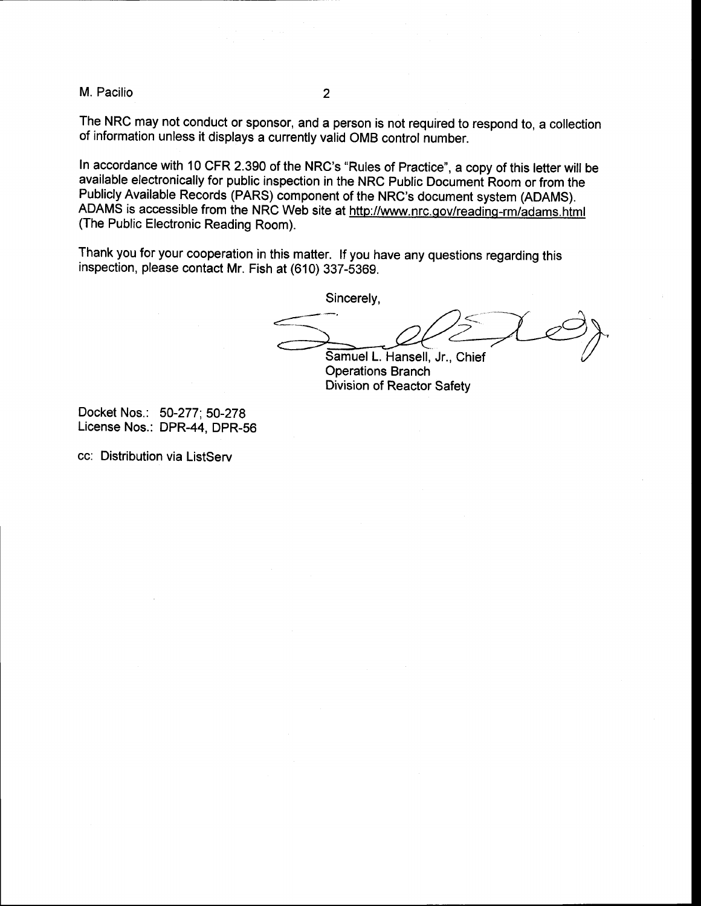M. Pacilio <sup>2</sup>

The NRC may not conduct or sponsor, and a person is not required to respond to, a collection of information unless it displays a currently valid oMB control number.

ln accordance with 10 CFR 2.390 of the NRC's "Rules of Practice", a copy of this letter will be available electronically for public inspection in the NRC Public Document Room or from the Publicly Available Records (PARS) component of the NRC's document system (ADAMS). ADAMS is accessible from the NRC Web site at http://www.nrc.gov/reading-rm/adams.html (The Public Electronic Reading Room).

Thank you for your cooperation in this matter. lf you have any questions regarding this inspection, please contact Mr. Fish at (610) 337-5369.

Sincerely,

Samuel L. Hansell, Jr., Chief **Operations Branch** 

Division of Reactor Safety

Docket Nos.: 50-277; 50-278 License Nos.: DPR-44, DPR-56

cc: Distribution via ListServ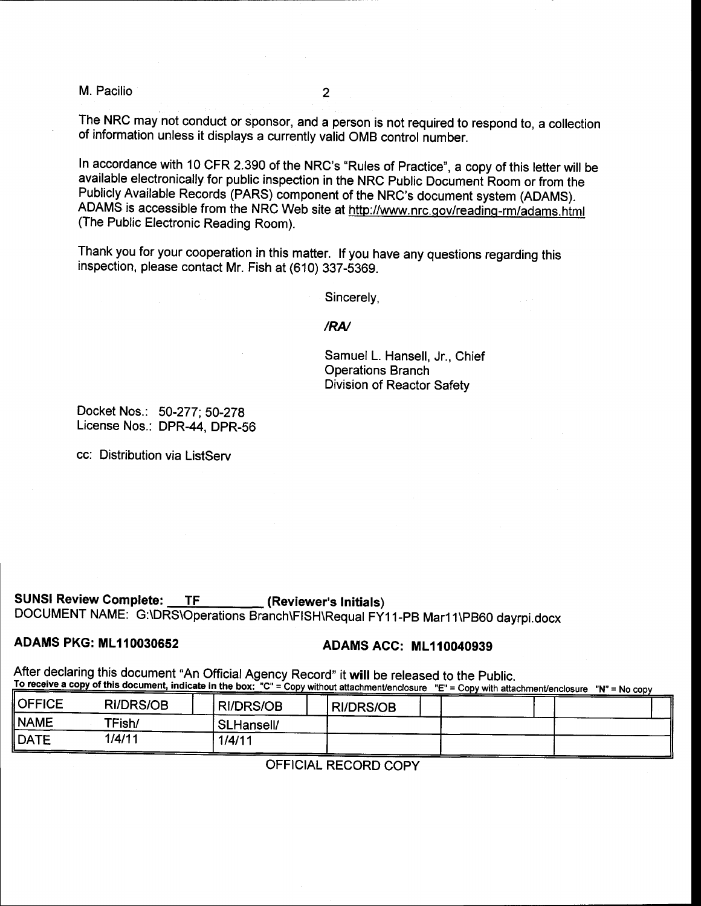M. Pacilio

The NRC may not conduct or sponsor, and a person is not required to respond to, a collection of information unless it displays a currenfly valid oMB control number.

In accordance with 10 CFR 2.390 of the NRC's "Rules of Practice", a copy of this letter will be available electronically for public inspection in the NRC Public Documeni Room or from the Publicly Available Records (PARS) component of the NRC's document system (ADAMS). ADAMS is accessible from the NRC Web site at http://www.nrc.qov/readinq-rm/adams.himl (The Public Electronic Reading Room).

Thank you for your cooperation in this matter. lf you have any questions regarding this inspection, please contact Mr. Fish at (610) 337-5369.

Sincerely,

### /RN

Samuel L. Hansell, Jr., Chief Operations Branch Division of Reactor Safety

Docket Nos.: 50-277; S0-2TB License Nos.: DPR-44, DPR-S6

cc: Distribution via ListServ

SUNSI Review Complete: TF (Reviewer's Initials) DOCUMENT NAME: G:\DRS\Operations Branch\FISH\Requal FY11-PB Mar11\PB60 dayrpi.docx

# ADAMS PKG: ML110030652 ADAMS ACC: ML110040939

After declaring this document "An Official Agency Record" it will be released to the Public. To receive a copy of this document, indicate in the box: "C" = Copy without attachment/enclosure "E" = Copy with attachment/enclosure "N" = No copy

| <b>OFFICE</b> | <b>RI/DRS/OB</b> | 'RI/DRS/OB | <b>RI/DRS/OB</b> |  |  |
|---------------|------------------|------------|------------------|--|--|
| <b>NAME</b>   | TFish/           | SLHansell/ |                  |  |  |
| ∥DATE         | 1/4/11           | 1/4/11     |                  |  |  |

OFFICIAL RECORD COPY